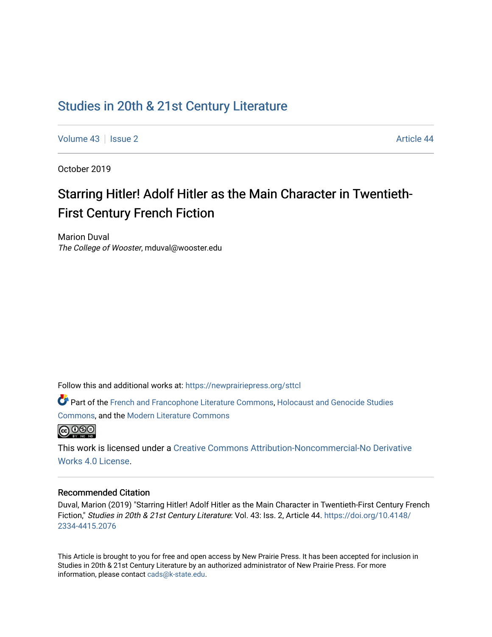## [Studies in 20th & 21st Century Literature](https://newprairiepress.org/sttcl)

[Volume 43](https://newprairiepress.org/sttcl/vol43) | [Issue 2](https://newprairiepress.org/sttcl/vol43/iss2) Article 44

October 2019

# Starring Hitler! Adolf Hitler as the Main Character in Twentieth-First Century French Fiction

Marion Duval The College of Wooster, mduval@wooster.edu

Follow this and additional works at: [https://newprairiepress.org/sttcl](https://newprairiepress.org/sttcl?utm_source=newprairiepress.org%2Fsttcl%2Fvol43%2Fiss2%2F44&utm_medium=PDF&utm_campaign=PDFCoverPages) 

Part of the [French and Francophone Literature Commons,](http://network.bepress.com/hgg/discipline/465?utm_source=newprairiepress.org%2Fsttcl%2Fvol43%2Fiss2%2F44&utm_medium=PDF&utm_campaign=PDFCoverPages) Holocaust and Genocide Studies [Commons](http://network.bepress.com/hgg/discipline/1413?utm_source=newprairiepress.org%2Fsttcl%2Fvol43%2Fiss2%2F44&utm_medium=PDF&utm_campaign=PDFCoverPages), and the [Modern Literature Commons](http://network.bepress.com/hgg/discipline/1050?utm_source=newprairiepress.org%2Fsttcl%2Fvol43%2Fiss2%2F44&utm_medium=PDF&utm_campaign=PDFCoverPages) 



This work is licensed under a [Creative Commons Attribution-Noncommercial-No Derivative](https://creativecommons.org/licenses/by-nc-nd/4.0/)  [Works 4.0 License](https://creativecommons.org/licenses/by-nc-nd/4.0/).

#### Recommended Citation

Duval, Marion (2019) "Starring Hitler! Adolf Hitler as the Main Character in Twentieth-First Century French Fiction," Studies in 20th & 21st Century Literature: Vol. 43: Iss. 2, Article 44. [https://doi.org/10.4148/](https://doi.org/10.4148/2334-4415.2076) [2334-4415.2076](https://doi.org/10.4148/2334-4415.2076) 

This Article is brought to you for free and open access by New Prairie Press. It has been accepted for inclusion in Studies in 20th & 21st Century Literature by an authorized administrator of New Prairie Press. For more information, please contact [cads@k-state.edu](mailto:cads@k-state.edu).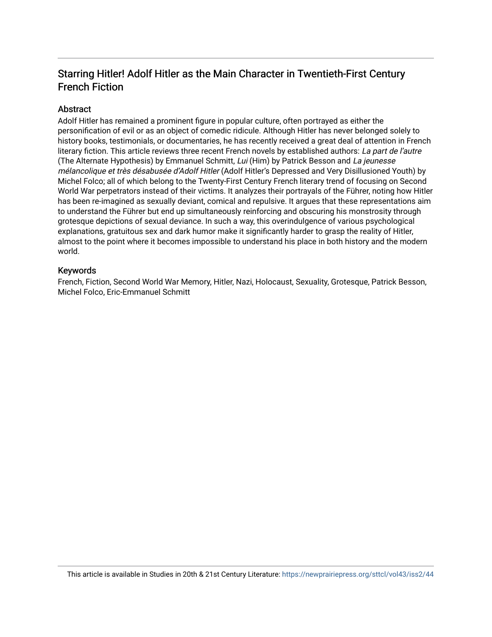### Starring Hitler! Adolf Hitler as the Main Character in Twentieth-First Century French Fiction

#### Abstract

Adolf Hitler has remained a prominent figure in popular culture, often portrayed as either the personification of evil or as an object of comedic ridicule. Although Hitler has never belonged solely to history books, testimonials, or documentaries, he has recently received a great deal of attention in French literary fiction. This article reviews three recent French novels by established authors: La part de l'autre (The Alternate Hypothesis) by Emmanuel Schmitt, Lui (Him) by Patrick Besson and La jeunesse mélancolique et très désabusée d'Adolf Hitler (Adolf Hitler's Depressed and Very Disillusioned Youth) by Michel Folco; all of which belong to the Twenty-First Century French literary trend of focusing on Second World War perpetrators instead of their victims. It analyzes their portrayals of the Führer, noting how Hitler has been re-imagined as sexually deviant, comical and repulsive. It argues that these representations aim to understand the Führer but end up simultaneously reinforcing and obscuring his monstrosity through grotesque depictions of sexual deviance. In such a way, this overindulgence of various psychological explanations, gratuitous sex and dark humor make it significantly harder to grasp the reality of Hitler, almost to the point where it becomes impossible to understand his place in both history and the modern world.

#### Keywords

French, Fiction, Second World War Memory, Hitler, Nazi, Holocaust, Sexuality, Grotesque, Patrick Besson, Michel Folco, Eric-Emmanuel Schmitt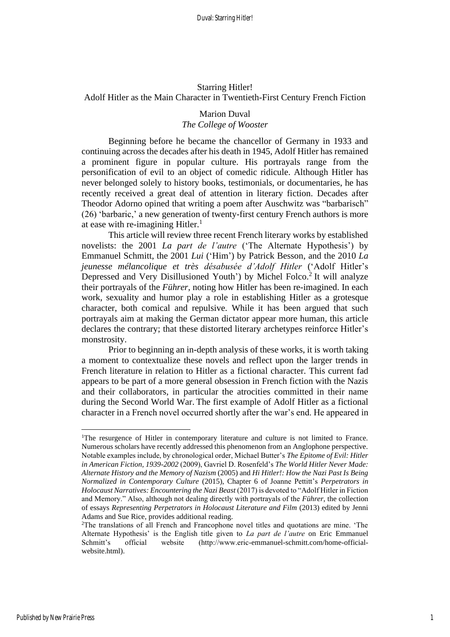#### Starring Hitler! Adolf Hitler as the Main Character in Twentieth-First Century French Fiction

#### Marion Duval *The College of Wooster*

Beginning before he became the chancellor of Germany in 1933 and continuing across the decades after his death in 1945, Adolf Hitler has remained a prominent figure in popular culture. His portrayals range from the personification of evil to an object of comedic ridicule. Although Hitler has never belonged solely to history books, testimonials, or documentaries, he has recently received a great deal of attention in literary fiction. Decades after Theodor Adorno opined that writing a poem after Auschwitz was "barbarisch" (26) 'barbaric,' a new generation of twenty-first century French authors is more at ease with re-imagining Hitler.<sup>1</sup>

This article will review three recent French literary works by established novelists: the 2001 *La part de l'autre* ('The Alternate Hypothesis') by Emmanuel Schmitt, the 2001 *Lui* ('Him') by Patrick Besson, and the 2010 *La jeunesse mélancolique et très désabusée d'Adolf Hitler* ('Adolf Hitler's Depressed and Very Disillusioned Youth') by Michel Folco.<sup>2</sup> It will analyze their portrayals of the *Führer*, noting how Hitler has been re-imagined. In each work, sexuality and humor play a role in establishing Hitler as a grotesque character, both comical and repulsive. While it has been argued that such portrayals aim at making the German dictator appear more human, this article declares the contrary; that these distorted literary archetypes reinforce Hitler's monstrosity.

Prior to beginning an in-depth analysis of these works, it is worth taking a moment to contextualize these novels and reflect upon the larger trends in French literature in relation to Hitler as a fictional character. This current fad appears to be part of a more general obsession in French fiction with the Nazis and their collaborators, in particular the atrocities committed in their name during the Second World War. The first example of Adolf Hitler as a fictional character in a French novel occurred shortly after the war's end. He appeared in

<sup>&</sup>lt;sup>1</sup>The resurgence of Hitler in contemporary literature and culture is not limited to France. Numerous scholars have recently addressed this phenomenon from an Anglophone perspective. Notable examples include, by chronological order, Michael Butter's *The Epitome of Evil: Hitler in American Fiction, 1939-2002* (2009), Gavriel D. Rosenfeld's *The World Hitler Never Made: Alternate History and the Memory of Nazism* (2005) and *Hi Hitler!: How the Nazi Past Is Being Normalized in Contemporary Culture* (2015), Chapter 6 of Joanne Pettitt's *Perpetrators in Holocaust Narratives: Encountering the Nazi Beast* (2017) is devoted to "Adolf Hitler in Fiction and Memory." Also, although not dealing directly with portrayals of the *Führer*, the collection of essays *Representing Perpetrators in Holocaust Literature and Film* (2013) edited by Jenni Adams and Sue Rice, provides additional reading.

<sup>&</sup>lt;sup>2</sup>The translations of all French and Francophone novel titles and quotations are mine. 'The Alternate Hypothesis' is the English title given to *La part de l'autre* on Eric Emmanuel Schmitt's official website (http://www.eric-emmanuel-schmitt.com/home-officialwebsite.html).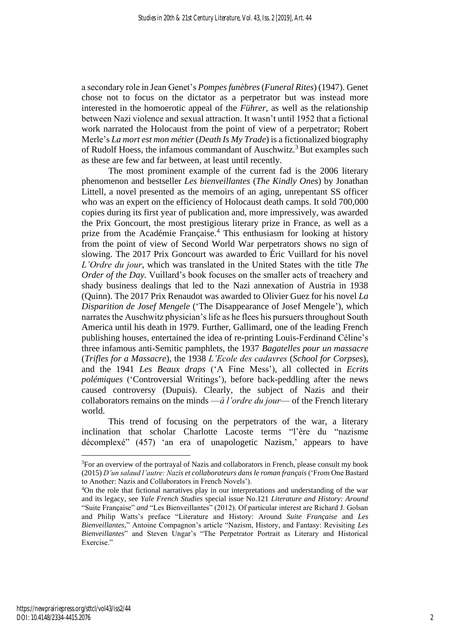a secondary role in Jean Genet's *Pompes funèbres* (*Funeral Rites*) (1947). Genet chose not to focus on the dictator as a perpetrator but was instead more interested in the homoerotic appeal of the *Führer*, as well as the relationship between Nazi violence and sexual attraction. It wasn't until 1952 that a fictional work narrated the Holocaust from the point of view of a perpetrator; Robert Merle's *La mort est mon métier* (*Death Is My Trade*) is a fictionalized biography of Rudolf Hoess, the infamous commandant of Auschwitz.<sup>3</sup> But examples such as these are few and far between, at least until recently.

The most prominent example of the current fad is the 2006 literary phenomenon and bestseller *Les bienveillantes* (*The Kindly Ones*) by Jonathan Littell, a novel presented as the memoirs of an aging, unrepentant SS officer who was an expert on the efficiency of Holocaust death camps. It sold 700,000 copies during its first year of publication and, more impressively, was awarded the Prix Goncourt, the most prestigious literary prize in France, as well as a prize from the Académie Française.<sup>4</sup> This enthusiasm for looking at history from the point of view of Second World War perpetrators shows no sign of slowing. The 2017 Prix Goncourt was awarded to Éric Vuillard for his novel *L'Ordre du jour*, which was translated in the United States with the title *The Order of the Day.* Vuillard's book focuses on the smaller acts of treachery and shady business dealings that led to the Nazi annexation of Austria in 1938 (Quinn). The 2017 Prix Renaudot was awarded to Olivier Guez for his novel *La Disparition de Josef Mengele* ('The Disappearance of Josef Mengele'), which narrates the Auschwitz physician's life as he flees his pursuers throughout South America until his death in 1979. Further, Gallimard, one of the leading French publishing houses, entertained the idea of re-printing Louis-Ferdinand Céline's three infamous anti-Semitic pamphlets, the 1937 *Bagatelles pour un massacre* (*Trifles for a Massacre*), the 1938 *L'Ecole des cadavres* (*School for Corpses*), and the 1941 *Les Beaux draps* ('A Fine Mess'), all collected in *Ecrits polémiques* ('Controversial Writings'), before back-peddling after the news caused controversy (Dupuis). Clearly, the subject of Nazis and their collaborators remains on the minds —*à l'ordre du jour*— of the French literary world.

This trend of focusing on the perpetrators of the war, a literary inclination that scholar Charlotte Lacoste terms "l'ère du "nazisme décomplexé" (457) 'an era of unapologetic Nazism,' appears to have

<sup>3</sup>For an overview of the portrayal of Nazis and collaborators in French, please consult my book (2015) *D'un salaud l'autre: Nazis et collaborateurs dans le roman français* ('From One Bastard to Another: Nazis and Collaborators in French Novels').

<sup>4</sup>On the role that fictional narratives play in our interpretations and understanding of the war and its legacy, see *Yale French Studies* special issue No.121 *Literature and History: Around* "Suite Française" *and* "Les Bienveillantes" (2012). Of particular interest are Richard J. Golsan and Philip Watts's preface "Literature and History: Around *Suite Française* and *Les Bienveillantes,*" Antoine Compagnon's article "Nazism, History, and Fantasy: Revisiting *Les Bienveillantes*" and Steven Ungar's "The Perpetrator Portrait as Literary and Historical Exercise."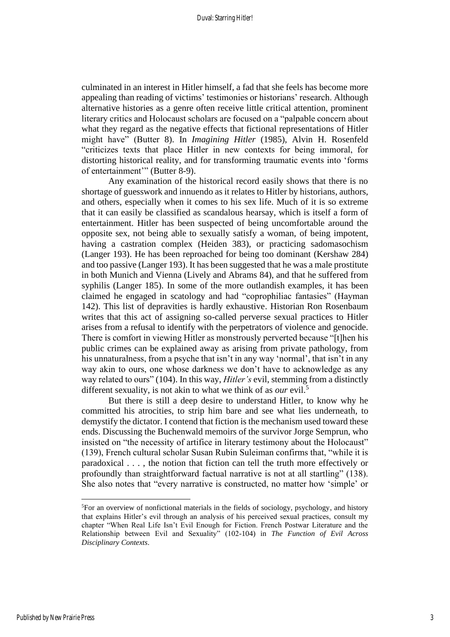culminated in an interest in Hitler himself, a fad that she feels has become more appealing than reading of victims' testimonies or historians' research. Although alternative histories as a genre often receive little critical attention, prominent literary critics and Holocaust scholars are focused on a "palpable concern about what they regard as the negative effects that fictional representations of Hitler might have" (Butter 8). In *Imagining Hitler* (1985), Alvin H. Rosenfeld "criticizes texts that place Hitler in new contexts for being immoral, for distorting historical reality, and for transforming traumatic events into 'forms of entertainment'" (Butter 8-9).

Any examination of the historical record easily shows that there is no shortage of guesswork and innuendo as it relates to Hitler by historians, authors, and others, especially when it comes to his sex life. Much of it is so extreme that it can easily be classified as scandalous hearsay, which is itself a form of entertainment. Hitler has been suspected of being uncomfortable around the opposite sex, not being able to sexually satisfy a woman, of being impotent, having a castration complex (Heiden 383), or practicing sadomasochism (Langer 193). He has been reproached for being too dominant (Kershaw 284) and too passive (Langer 193). It has been suggested that he was a male prostitute in both Munich and Vienna (Lively and Abrams 84), and that he suffered from syphilis (Langer 185). In some of the more outlandish examples, it has been claimed he engaged in scatology and had "coprophiliac fantasies" (Hayman 142). This list of depravities is hardly exhaustive. Historian Ron Rosenbaum writes that this act of assigning so-called perverse sexual practices to Hitler arises from a refusal to identify with the perpetrators of violence and genocide. There is comfort in viewing Hitler as monstrously perverted because "[t]hen his public crimes can be explained away as arising from private pathology, from his unnaturalness, from a psyche that isn't in any way 'normal', that isn't in any way akin to ours, one whose darkness we don't have to acknowledge as any way related to ours" (104). In this way, *Hitler's* evil, stemming from a distinctly different sexuality, is not akin to what we think of as *our* evil.<sup>5</sup>

But there is still a deep desire to understand Hitler, to know why he committed his atrocities, to strip him bare and see what lies underneath, to demystify the dictator. I contend that fiction is the mechanism used toward these ends. Discussing the Buchenwald memoirs of the survivor Jorge Semprun, who insisted on "the necessity of artifice in literary testimony about the Holocaust" (139), French cultural scholar Susan Rubin Suleiman confirms that, "while it is paradoxical . . . , the notion that fiction can tell the truth more effectively or profoundly than straightforward factual narrative is not at all startling" (138). She also notes that "every narrative is constructed, no matter how 'simple' or

<sup>5</sup>For an overview of nonfictional materials in the fields of sociology, psychology, and history that explains Hitler's evil through an analysis of his perceived sexual practices, consult my chapter "When Real Life Isn't Evil Enough for Fiction. French Postwar Literature and the Relationship between Evil and Sexuality" (102-104) in *The Function of Evil Across Disciplinary Contexts*.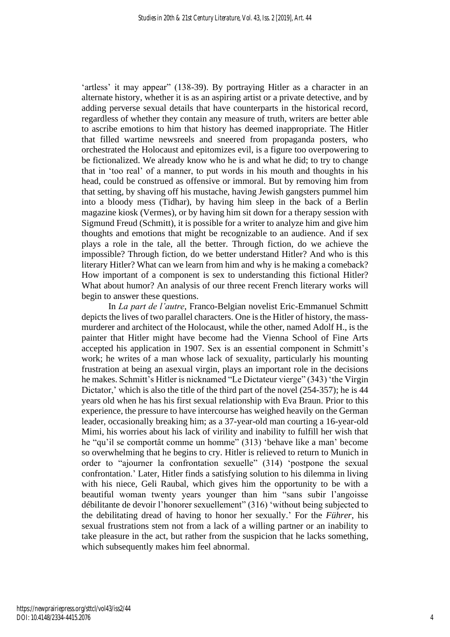'artless' it may appear" (138-39). By portraying Hitler as a character in an alternate history, whether it is as an aspiring artist or a private detective, and by adding perverse sexual details that have counterparts in the historical record, regardless of whether they contain any measure of truth, writers are better able to ascribe emotions to him that history has deemed inappropriate. The Hitler that filled wartime newsreels and sneered from propaganda posters, who orchestrated the Holocaust and epitomizes evil, is a figure too overpowering to be fictionalized. We already know who he is and what he did; to try to change that in 'too real' of a manner, to put words in his mouth and thoughts in his head, could be construed as offensive or immoral. But by removing him from that setting, by shaving off his mustache, having Jewish gangsters pummel him into a bloody mess (Tidhar), by having him sleep in the back of a Berlin magazine kiosk (Vermes), or by having him sit down for a therapy session with Sigmund Freud (Schmitt), it is possible for a writer to analyze him and give him thoughts and emotions that might be recognizable to an audience. And if sex plays a role in the tale, all the better. Through fiction, do we achieve the impossible? Through fiction, do we better understand Hitler? And who is this literary Hitler? What can we learn from him and why is he making a comeback? How important of a component is sex to understanding this fictional Hitler? What about humor? An analysis of our three recent French literary works will begin to answer these questions.

In *La part de l'autre*, Franco-Belgian novelist Eric-Emmanuel Schmitt depicts the lives of two parallel characters. One is the Hitler of history, the massmurderer and architect of the Holocaust, while the other, named Adolf H., is the painter that Hitler might have become had the Vienna School of Fine Arts accepted his application in 1907. Sex is an essential component in Schmitt's work; he writes of a man whose lack of sexuality, particularly his mounting frustration at being an asexual virgin, plays an important role in the decisions he makes. Schmitt's Hitler is nicknamed "Le Dictateur vierge" (343) 'the Virgin Dictator,' which is also the title of the third part of the novel (254-357); he is 44 years old when he has his first sexual relationship with Eva Braun. Prior to this experience, the pressure to have intercourse has weighed heavily on the German leader, occasionally breaking him; as a 37-year-old man courting a 16-year-old Mimi, his worries about his lack of virility and inability to fulfill her wish that he "qu'il se comportât comme un homme" (313) 'behave like a man' become so overwhelming that he begins to cry. Hitler is relieved to return to Munich in order to "ajourner la confrontation sexuelle" (314) 'postpone the sexual confrontation.' Later, Hitler finds a satisfying solution to his dilemma in living with his niece, Geli Raubal, which gives him the opportunity to be with a beautiful woman twenty years younger than him "sans subir l'angoisse débilitante de devoir l'honorer sexuellement" (316) 'without being subjected to the debilitating dread of having to honor her sexually.' For the *Führer*, his sexual frustrations stem not from a lack of a willing partner or an inability to take pleasure in the act, but rather from the suspicion that he lacks something, which subsequently makes him feel abnormal.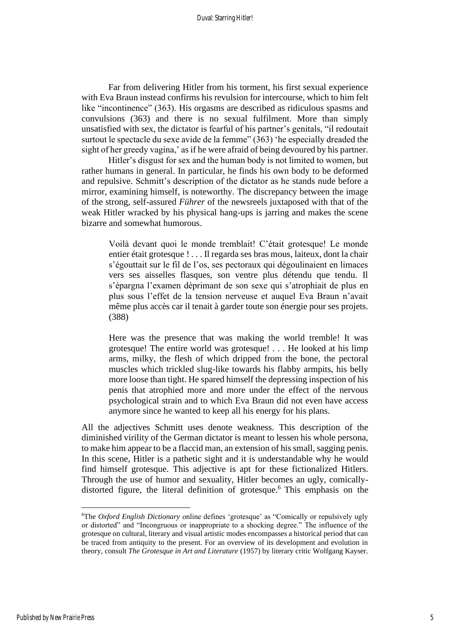Far from delivering Hitler from his torment, his first sexual experience with Eva Braun instead confirms his revulsion for intercourse, which to him felt like "incontinence" (363). His orgasms are described as ridiculous spasms and convulsions (363) and there is no sexual fulfilment. More than simply unsatisfied with sex, the dictator is fearful of his partner's genitals, "il redoutait surtout le spectacle du sexe avide de la femme" (363) 'he especially dreaded the sight of her greedy vagina,' as if he were afraid of being devoured by his partner.

Hitler's disgust for sex and the human body is not limited to women, but rather humans in general. In particular, he finds his own body to be deformed and repulsive. Schmitt's description of the dictator as he stands nude before a mirror, examining himself, is noteworthy. The discrepancy between the image of the strong, self-assured *Führer* of the newsreels juxtaposed with that of the weak Hitler wracked by his physical hang-ups is jarring and makes the scene bizarre and somewhat humorous.

Voilà devant quoi le monde tremblait! C'était grotesque! Le monde entier était grotesque ! . . . Il regarda ses bras mous, laiteux, dont la chair s'égouttait sur le fil de l'os, ses pectoraux qui dégoulinaient en limaces vers ses aisselles flasques, son ventre plus détendu que tendu. Il s'épargna l'examen déprimant de son sexe qui s'atrophiait de plus en plus sous l'effet de la tension nerveuse et auquel Eva Braun n'avait même plus accès car il tenait à garder toute son énergie pour ses projets. (388)

Here was the presence that was making the world tremble! It was grotesque! The entire world was grotesque! . . . He looked at his limp arms, milky, the flesh of which dripped from the bone, the pectoral muscles which trickled slug-like towards his flabby armpits, his belly more loose than tight. He spared himself the depressing inspection of his penis that atrophied more and more under the effect of the nervous psychological strain and to which Eva Braun did not even have access anymore since he wanted to keep all his energy for his plans.

All the adjectives Schmitt uses denote weakness. This description of the diminished virility of the German dictator is meant to lessen his whole persona, to make him appear to be a flaccid man, an extension of his small, sagging penis. In this scene, Hitler is a pathetic sight and it is understandable why he would find himself grotesque. This adjective is apt for these fictionalized Hitlers. Through the use of humor and sexuality, Hitler becomes an ugly, comicallydistorted figure, the literal definition of grotesque. <sup>6</sup> This emphasis on the

<sup>6</sup>The *Oxford English Dictionary* online defines 'grotesque' as "Comically or repulsively ugly or distorted" and "Incongruous or inappropriate to a shocking degree." The influence of the grotesque on cultural, literary and visual artistic modes encompasses a historical period that can be traced from antiquity to the present. For an overview of its development and evolution in theory, consult *The Grotesque in Art and Literature* (1957) by literary critic Wolfgang Kayser.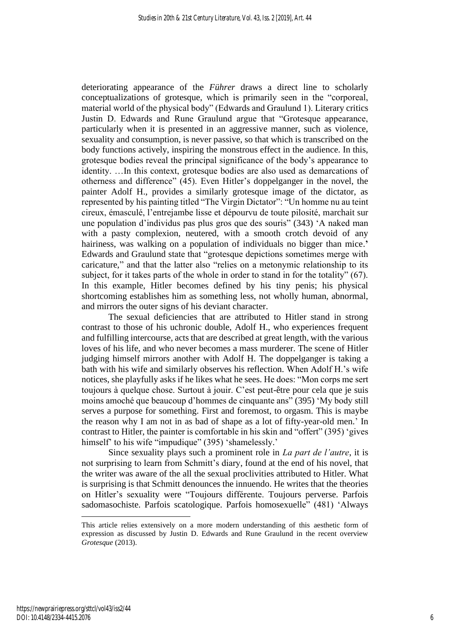deteriorating appearance of the *Führer* draws a direct line to scholarly conceptualizations of grotesque, which is primarily seen in the "corporeal, material world of the physical body" (Edwards and Graulund 1). Literary critics Justin D. Edwards and Rune Graulund argue that "Grotesque appearance, particularly when it is presented in an aggressive manner, such as violence, sexuality and consumption, is never passive, so that which is transcribed on the body functions actively, inspiring the monstrous effect in the audience. In this, grotesque bodies reveal the principal significance of the body's appearance to identity. …In this context, grotesque bodies are also used as demarcations of otherness and difference" (45). Even Hitler's doppelganger in the novel, the painter Adolf H., provides a similarly grotesque image of the dictator, as represented by his painting titled "The Virgin Dictator": "Un homme nu au teint cireux, émasculé, l'entrejambe lisse et dépourvu de toute pilosité, marchait sur une population d'individus pas plus gros que des souris" (343) 'A naked man with a pasty complexion, neutered, with a smooth crotch devoid of any hairiness, was walking on a population of individuals no bigger than mice.**'** Edwards and Graulund state that "grotesque depictions sometimes merge with caricature," and that the latter also "relies on a metonymic relationship to its subject, for it takes parts of the whole in order to stand in for the totality" (67). In this example, Hitler becomes defined by his tiny penis; his physical shortcoming establishes him as something less, not wholly human, abnormal, and mirrors the outer signs of his deviant character.

The sexual deficiencies that are attributed to Hitler stand in strong contrast to those of his uchronic double, Adolf H., who experiences frequent and fulfilling intercourse, acts that are described at great length, with the various loves of his life, and who never becomes a mass murderer. The scene of Hitler judging himself mirrors another with Adolf H. The doppelganger is taking a bath with his wife and similarly observes his reflection. When Adolf H.'s wife notices, she playfully asks if he likes what he sees. He does: "Mon corps me sert toujours à quelque chose. Surtout à jouir. C'est peut-être pour cela que je suis moins amoché que beaucoup d'hommes de cinquante ans" (395) 'My body still serves a purpose for something. First and foremost, to orgasm. This is maybe the reason why I am not in as bad of shape as a lot of fifty-year-old men.' In contrast to Hitler, the painter is comfortable in his skin and "offert" (395) 'gives himself' to his wife "impudique" (395) 'shamelessly.'

Since sexuality plays such a prominent role in *La part de l'autre*, it is not surprising to learn from Schmitt's diary, found at the end of his novel, that the writer was aware of the all the sexual proclivities attributed to Hitler. What is surprising is that Schmitt denounces the innuendo. He writes that the theories on Hitler's sexuality were "Toujours différente. Toujours perverse. Parfois sadomasochiste. Parfois scatologique. Parfois homosexuelle" (481) 'Always

This article relies extensively on a more modern understanding of this aesthetic form of expression as discussed by Justin D. Edwards and Rune Graulund in the recent overview *Grotesque* (2013).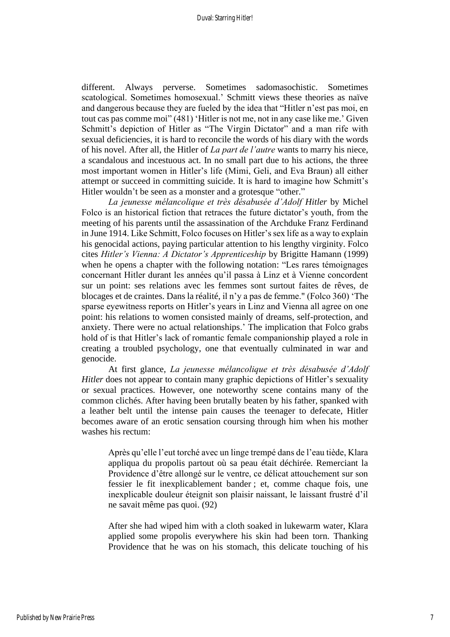different. Always perverse. Sometimes sadomasochistic. Sometimes scatological. Sometimes homosexual.' Schmitt views these theories as naïve and dangerous because they are fueled by the idea that "Hitler n'est pas moi, en tout cas pas comme moi" (481) 'Hitler is not me, not in any case like me.' Given Schmitt's depiction of Hitler as "The Virgin Dictator" and a man rife with sexual deficiencies, it is hard to reconcile the words of his diary with the words of his novel. After all, the Hitler of *La part de l'autre* wants to marry his niece, a scandalous and incestuous act. In no small part due to his actions, the three most important women in Hitler's life (Mimi, Geli, and Eva Braun) all either attempt or succeed in committing suicide. It is hard to imagine how Schmitt's Hitler wouldn't be seen as a monster and a grotesque "other."

*La jeunesse mélancolique et très désabusée d'Adolf Hitler* by Michel Folco is an historical fiction that retraces the future dictator's youth, from the meeting of his parents until the assassination of the Archduke Franz Ferdinand in June 1914. Like Schmitt, Folco focuses on Hitler's sex life as a way to explain his genocidal actions, paying particular attention to his lengthy virginity. Folco cites *Hitler's Vienna: A Dictator's Apprenticeship* by Brigitte Hamann (1999) when he opens a chapter with the following notation: "Les rares témoignages concernant Hitler durant les années qu'il passa à Linz et à Vienne concordent sur un point: ses relations avec les femmes sont surtout faites de rêves, de blocages et de craintes. Dans la réalité, il n'y a pas de femme." (Folco 360) 'The sparse eyewitness reports on Hitler's years in Linz and Vienna all agree on one point: his relations to women consisted mainly of dreams, self-protection, and anxiety. There were no actual relationships.' The implication that Folco grabs hold of is that Hitler's lack of romantic female companionship played a role in creating a troubled psychology, one that eventually culminated in war and genocide.

At first glance, *La jeunesse mélancolique et très désabusée d'Adolf Hitler* does not appear to contain many graphic depictions of Hitler's sexuality or sexual practices. However, one noteworthy scene contains many of the common clichés. After having been brutally beaten by his father, spanked with a leather belt until the intense pain causes the teenager to defecate, Hitler becomes aware of an erotic sensation coursing through him when his mother washes his rectum:

Après qu'elle l'eut torché avec un linge trempé dans de l'eau tiède, Klara appliqua du propolis partout où sa peau était déchirée. Remerciant la Providence d'être allongé sur le ventre, ce délicat attouchement sur son fessier le fit inexplicablement bander ; et, comme chaque fois, une inexplicable douleur éteignit son plaisir naissant, le laissant frustré d'il ne savait même pas quoi. (92)

After she had wiped him with a cloth soaked in lukewarm water, Klara applied some propolis everywhere his skin had been torn. Thanking Providence that he was on his stomach, this delicate touching of his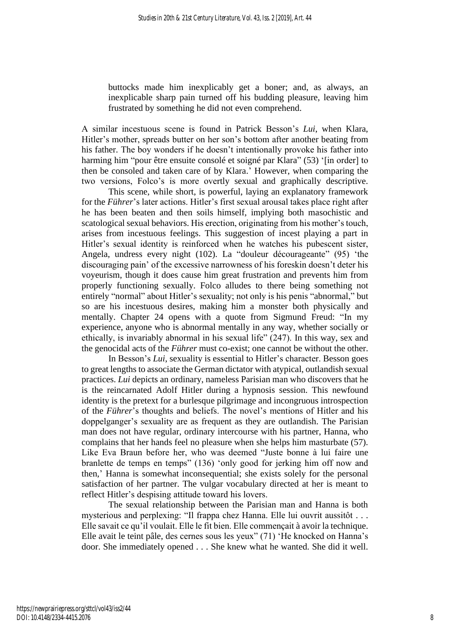buttocks made him inexplicably get a boner; and, as always, an inexplicable sharp pain turned off his budding pleasure, leaving him frustrated by something he did not even comprehend.

A similar incestuous scene is found in Patrick Besson's *Lui*, when Klara, Hitler's mother, spreads butter on her son's bottom after another beating from his father. The boy wonders if he doesn't intentionally provoke his father into harming him "pour être ensuite consolé et soigné par Klara" (53) '[in order] to then be consoled and taken care of by Klara.' However, when comparing the two versions, Folco's is more overtly sexual and graphically descriptive.

This scene, while short, is powerful, laying an explanatory framework for the *Führer*'s later actions. Hitler's first sexual arousal takes place right after he has been beaten and then soils himself, implying both masochistic and scatological sexual behaviors. His erection, originating from his mother's touch, arises from incestuous feelings. This suggestion of incest playing a part in Hitler's sexual identity is reinforced when he watches his pubescent sister, Angela, undress every night (102). La "douleur décourageante" (95) 'the discouraging pain' of the excessive narrowness of his foreskin doesn't deter his voyeurism, though it does cause him great frustration and prevents him from properly functioning sexually. Folco alludes to there being something not entirely "normal" about Hitler's sexuality; not only is his penis "abnormal," but so are his incestuous desires, making him a monster both physically and mentally. Chapter 24 opens with a quote from Sigmund Freud: "In my experience, anyone who is abnormal mentally in any way, whether socially or ethically, is invariably abnormal in his sexual life" (247). In this way, sex and the genocidal acts of the *Führer* must co-exist; one cannot be without the other.

In Besson's *Lui*, sexuality is essential to Hitler's character. Besson goes to great lengths to associate the German dictator with atypical, outlandish sexual practices. *Lui* depicts an ordinary, nameless Parisian man who discovers that he is the reincarnated Adolf Hitler during a hypnosis session. This newfound identity is the pretext for a burlesque pilgrimage and incongruous introspection of the *Führer*'s thoughts and beliefs. The novel's mentions of Hitler and his doppelganger's sexuality are as frequent as they are outlandish. The Parisian man does not have regular, ordinary intercourse with his partner, Hanna, who complains that her hands feel no pleasure when she helps him masturbate (57). Like Eva Braun before her, who was deemed "Juste bonne à lui faire une branlette de temps en temps" (136) 'only good for jerking him off now and then,' Hanna is somewhat inconsequential; she exists solely for the personal satisfaction of her partner. The vulgar vocabulary directed at her is meant to reflect Hitler's despising attitude toward his lovers.

The sexual relationship between the Parisian man and Hanna is both mysterious and perplexing: "Il frappa chez Hanna. Elle lui ouvrit aussitôt . . . Elle savait ce qu'il voulait. Elle le fit bien. Elle commençait à avoir la technique. Elle avait le teint pâle, des cernes sous les yeux" (71) 'He knocked on Hanna's door. She immediately opened . . . She knew what he wanted. She did it well.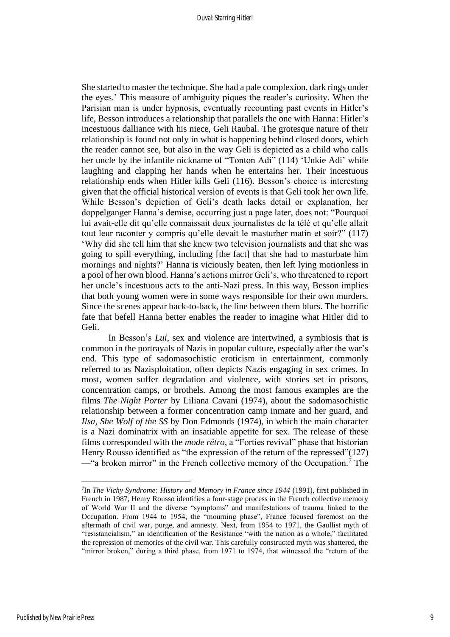She started to master the technique. She had a pale complexion, dark rings under the eyes.' This measure of ambiguity piques the reader's curiosity. When the Parisian man is under hypnosis, eventually recounting past events in Hitler's life, Besson introduces a relationship that parallels the one with Hanna: Hitler's incestuous dalliance with his niece, Geli Raubal. The grotesque nature of their relationship is found not only in what is happening behind closed doors, which the reader cannot see, but also in the way Geli is depicted as a child who calls her uncle by the infantile nickname of "Tonton Adi" (114) 'Unkie Adi' while laughing and clapping her hands when he entertains her. Their incestuous relationship ends when Hitler kills Geli (116). Besson's choice is interesting given that the official historical version of events is that Geli took her own life. While Besson's depiction of Geli's death lacks detail or explanation, her doppelganger Hanna's demise, occurring just a page later, does not: "Pourquoi lui avait-elle dit qu'elle connaissait deux journalistes de la télé et qu'elle allait tout leur raconter y compris qu'elle devait le masturber matin et soir?" (117) 'Why did she tell him that she knew two television journalists and that she was going to spill everything, including [the fact] that she had to masturbate him mornings and nights?' Hanna is viciously beaten, then left lying motionless in a pool of her own blood. Hanna's actions mirror Geli's, who threatened to report her uncle's incestuous acts to the anti-Nazi press. In this way, Besson implies that both young women were in some ways responsible for their own murders. Since the scenes appear back-to-back, the line between them blurs. The horrific fate that befell Hanna better enables the reader to imagine what Hitler did to Geli.

In Besson's *Lui*, sex and violence are intertwined, a symbiosis that is common in the portrayals of Nazis in popular culture, especially after the war's end. This type of sadomasochistic eroticism in entertainment, commonly referred to as Nazisploitation, often depicts Nazis engaging in sex crimes. In most, women suffer degradation and violence, with stories set in prisons, concentration camps, or brothels. Among the most famous examples are the films *The Night Porter* by Liliana Cavani (1974), about the sadomasochistic relationship between a former concentration camp inmate and her guard, and *Ilsa, She Wolf of the SS* by Don Edmonds (1974), in which the main character is a Nazi dominatrix with an insatiable appetite for sex. The release of these films corresponded with the *mode rétro*, a "Forties revival" phase that historian Henry Rousso identified as "the expression of the return of the repressed"(127) —"a broken mirror" in the French collective memory of the Occupation.<sup>7</sup> The

<sup>7</sup> In *The Vichy Syndrome: History and Memory in France since 1944* (1991), first published in French in 1987, Henry Rousso identifies a four-stage process in the French collective memory of World War II and the diverse "symptoms" and manifestations of trauma linked to the Occupation. From 1944 to 1954, the "mourning phase", France focused foremost on the aftermath of civil war, purge, and amnesty. Next, from 1954 to 1971, the Gaullist myth of "resistancialism," an identification of the Resistance "with the nation as a whole," facilitated the repression of memories of the civil war. This carefully constructed myth was shattered, the "mirror broken," during a third phase, from 1971 to 1974, that witnessed the "return of the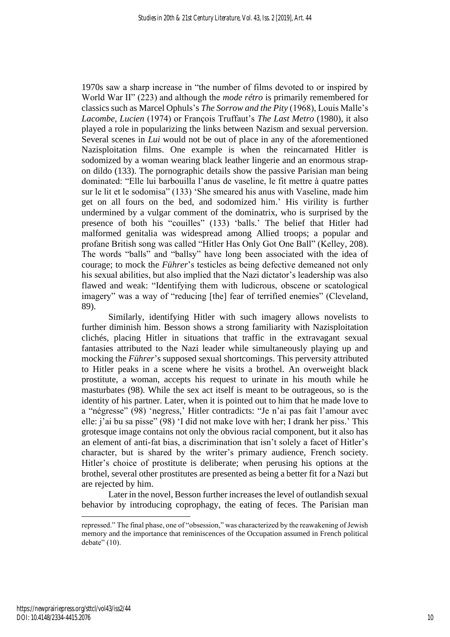1970s saw a sharp increase in "the number of films devoted to or inspired by World War II" (223) and although the *mode rétro* is primarily remembered for classics such as Marcel Ophuls's *The Sorrow and the Pity* (1968), Louis Malle's *Lacombe, Lucien* (1974) or François Truffaut's *The Last Metro* (1980), it also played a role in popularizing the links between Nazism and sexual perversion. Several scenes in *Lui* would not be out of place in any of the aforementioned Nazisploitation films. One example is when the reincarnated Hitler is sodomized by a woman wearing black leather lingerie and an enormous strapon dildo (133). The pornographic details show the passive Parisian man being dominated: "Elle lui barbouilla l'anus de vaseline, le fit mettre à quatre pattes sur le lit et le sodomisa" (133) 'She smeared his anus with Vaseline, made him get on all fours on the bed, and sodomized him.' His virility is further undermined by a vulgar comment of the dominatrix, who is surprised by the presence of both his "couilles" (133) 'balls.' The belief that Hitler had malformed genitalia was widespread among Allied troops; a popular and profane British song was called "Hitler Has Only Got One Ball" (Kelley, 208). The words "balls" and "ballsy" have long been associated with the idea of courage; to mock the *Führer*'s testicles as being defective demeaned not only his sexual abilities, but also implied that the Nazi dictator's leadership was also flawed and weak: "Identifying them with ludicrous, obscene or scatological imagery" was a way of "reducing [the] fear of terrified enemies" (Cleveland, 89).

Similarly, identifying Hitler with such imagery allows novelists to further diminish him. Besson shows a strong familiarity with Nazisploitation clichés, placing Hitler in situations that traffic in the extravagant sexual fantasies attributed to the Nazi leader while simultaneously playing up and mocking the *Führer*'s supposed sexual shortcomings. This perversity attributed to Hitler peaks in a scene where he visits a brothel. An overweight black prostitute, a woman, accepts his request to urinate in his mouth while he masturbates (98). While the sex act itself is meant to be outrageous, so is the identity of his partner. Later, when it is pointed out to him that he made love to a "négresse" (98) 'negress,' Hitler contradicts: "Je n'ai pas fait l'amour avec elle: j'ai bu sa pisse" (98) 'I did not make love with her; I drank her piss.' This grotesque image contains not only the obvious racial component, but it also has an element of anti-fat bias, a discrimination that isn't solely a facet of Hitler's character, but is shared by the writer's primary audience, French society. Hitler's choice of prostitute is deliberate; when perusing his options at the brothel, several other prostitutes are presented as being a better fit for a Nazi but are rejected by him.

Later in the novel, Besson further increases the level of outlandish sexual behavior by introducing coprophagy, the eating of feces. The Parisian man

repressed." The final phase, one of "obsession," was characterized by the reawakening of Jewish memory and the importance that reminiscences of the Occupation assumed in French political  $debate''(10)$ .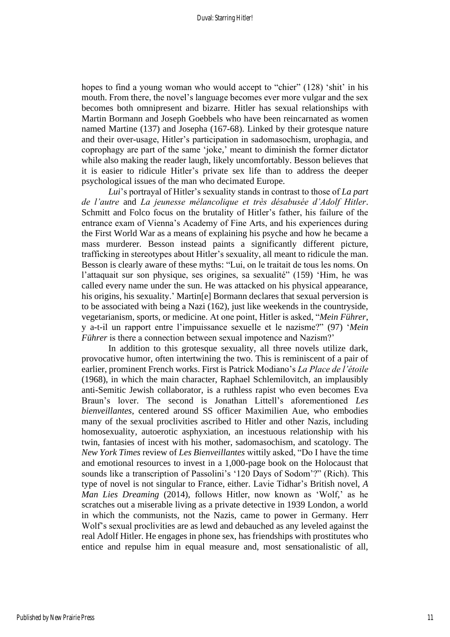hopes to find a young woman who would accept to "chier" (128) 'shit' in his mouth. From there, the novel's language becomes ever more vulgar and the sex becomes both omnipresent and bizarre. Hitler has sexual relationships with Martin Bormann and Joseph Goebbels who have been reincarnated as women named Martine (137) and Josepha (167-68). Linked by their grotesque nature and their over-usage, Hitler's participation in sadomasochism, urophagia, and coprophagy are part of the same 'joke,' meant to diminish the former dictator while also making the reader laugh, likely uncomfortably. Besson believes that it is easier to ridicule Hitler's private sex life than to address the deeper psychological issues of the man who decimated Europe.

*Lui*'s portrayal of Hitler's sexuality stands in contrast to those of *La part de l'autre* and *La jeunesse mélancolique et très désabusée d'Adolf Hitler*. Schmitt and Folco focus on the brutality of Hitler's father, his failure of the entrance exam of Vienna's Academy of Fine Arts, and his experiences during the First World War as a means of explaining his psyche and how he became a mass murderer. Besson instead paints a significantly different picture, trafficking in stereotypes about Hitler's sexuality, all meant to ridicule the man. Besson is clearly aware of these myths: "Lui, on le traitait de tous les noms. On l'attaquait sur son physique, ses origines, sa sexualité" (159) 'Him, he was called every name under the sun. He was attacked on his physical appearance, his origins, his sexuality.' Martin[e] Bormann declares that sexual perversion is to be associated with being a Nazi (162), just like weekends in the countryside, vegetarianism, sports, or medicine. At one point, Hitler is asked, "*Mein Führer*, y a-t-il un rapport entre l'impuissance sexuelle et le nazisme?" (97) '*Mein Führer* is there a connection between sexual impotence and Nazism?'

In addition to this grotesque sexuality, all three novels utilize dark, provocative humor, often intertwining the two. This is reminiscent of a pair of earlier, prominent French works. First is Patrick Modiano's *La Place de l'étoile* (1968), in which the main character, Raphael Schlemilovitch, an implausibly anti-Semitic Jewish collaborator, is a ruthless rapist who even becomes Eva Braun's lover. The second is Jonathan Littell's aforementioned *Les bienveillantes*, centered around SS officer Maximilien Aue, who embodies many of the sexual proclivities ascribed to Hitler and other Nazis, including homosexuality, autoerotic asphyxiation, an incestuous relationship with his twin, fantasies of incest with his mother, sadomasochism, and scatology. The *New York Times* review of *Les Bienveillantes* wittily asked, "Do I have the time and emotional resources to invest in a 1,000-page book on the Holocaust that sounds like a transcription of Passolini's '120 Days of Sodom'?" (Rich). This type of novel is not singular to France, either. Lavie Tidhar's British novel, *A Man Lies Dreaming* (2014), follows Hitler, now known as 'Wolf,' as he scratches out a miserable living as a private detective in 1939 London, a world in which the communists, not the Nazis, came to power in Germany. Herr Wolf's sexual proclivities are as lewd and debauched as any leveled against the real Adolf Hitler. He engages in phone sex, has friendships with prostitutes who entice and repulse him in equal measure and, most sensationalistic of all,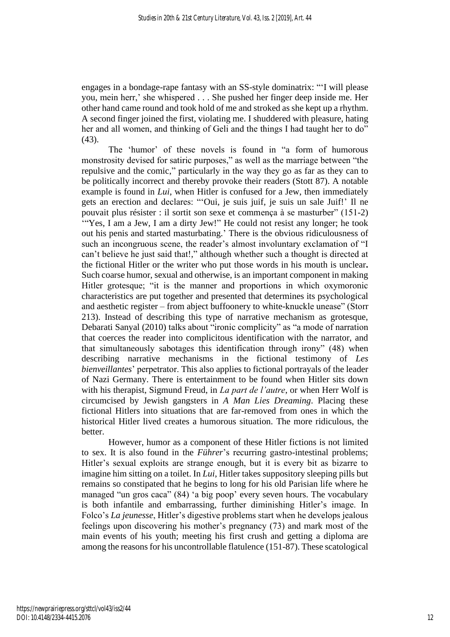engages in a bondage-rape fantasy with an SS-style dominatrix: "'I will please you, mein herr,' she whispered . . . She pushed her finger deep inside me. Her other hand came round and took hold of me and stroked as she kept up a rhythm. A second finger joined the first, violating me. I shuddered with pleasure, hating her and all women, and thinking of Geli and the things I had taught her to do"  $(43)$ .

The 'humor' of these novels is found in "a form of humorous monstrosity devised for satiric purposes," as well as the marriage between "the repulsive and the comic," particularly in the way they go as far as they can to be politically incorrect and thereby provoke their readers (Stott 87). A notable example is found in *Lui*, when Hitler is confused for a Jew, then immediately gets an erection and declares: "'Oui, je suis juif, je suis un sale Juif!' Il ne pouvait plus résister : il sortit son sexe et commença à se masturber" (151-2) '"Yes, I am a Jew, I am a dirty Jew!" He could not resist any longer; he took out his penis and started masturbating.' There is the obvious ridiculousness of such an incongruous scene, the reader's almost involuntary exclamation of "I can't believe he just said that!," although whether such a thought is directed at the fictional Hitler or the writer who put those words in his mouth is unclear**.** Such coarse humor, sexual and otherwise, is an important component in making Hitler grotesque; "it is the manner and proportions in which oxymoronic characteristics are put together and presented that determines its psychological and aesthetic register – from abject buffoonery to white-knuckle unease" (Storr 213). Instead of describing this type of narrative mechanism as grotesque, Debarati Sanyal (2010) talks about "ironic complicity" as "a mode of narration that coerces the reader into complicitous identification with the narrator, and that simultaneously sabotages this identification through irony" (48) when describing narrative mechanisms in the fictional testimony of *Les bienveillantes*' perpetrator. This also applies to fictional portrayals of the leader of Nazi Germany. There is entertainment to be found when Hitler sits down with his therapist, Sigmund Freud, in *La part de l'autre*, or when Herr Wolf is circumcised by Jewish gangsters in *A Man Lies Dreaming*. Placing these fictional Hitlers into situations that are far-removed from ones in which the historical Hitler lived creates a humorous situation. The more ridiculous, the **better** 

However, humor as a component of these Hitler fictions is not limited to sex. It is also found in the *Führer*'s recurring gastro-intestinal problems; Hitler's sexual exploits are strange enough, but it is every bit as bizarre to imagine him sitting on a toilet. In *Lui*, Hitler takes suppository sleeping pills but remains so constipated that he begins to long for his old Parisian life where he managed "un gros caca" (84) 'a big poop' every seven hours. The vocabulary is both infantile and embarrassing, further diminishing Hitler's image. In Folco's *La jeunesse*, Hitler's digestive problems start when he develops jealous feelings upon discovering his mother's pregnancy (73) and mark most of the main events of his youth; meeting his first crush and getting a diploma are among the reasons for his uncontrollable flatulence (151-87). These scatological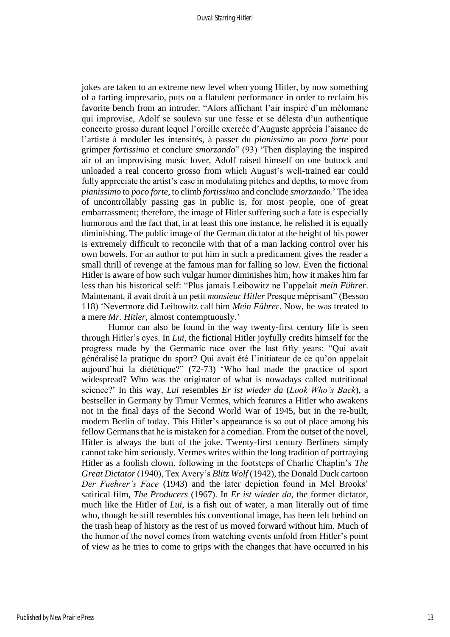jokes are taken to an extreme new level when young Hitler, by now something of a farting impresario, puts on a flatulent performance in order to reclaim his favorite bench from an intruder. "Alors affichant l'air inspiré d'un mélomane qui improvise, Adolf se souleva sur une fesse et se délesta d'un authentique concerto grosso durant lequel l'oreille exercée d'Auguste apprécia l'aisance de l'artiste à moduler les intensités, à passer du *pianissimo* au *poco forte* pour grimper *fortissimo* et conclure *smorzando*" (93) 'Then displaying the inspired air of an improvising music lover, Adolf raised himself on one buttock and unloaded a real concerto grosso from which August's well-trained ear could fully appreciate the artist's ease in modulating pitches and depths, to move from *pianissimo* to *poco forte*, to climb *fortissimo* and conclude *smorzando.*' The idea of uncontrollably passing gas in public is, for most people, one of great embarrassment; therefore, the image of Hitler suffering such a fate is especially humorous and the fact that, in at least this one instance, he relished it is equally diminishing. The public image of the German dictator at the height of his power is extremely difficult to reconcile with that of a man lacking control over his own bowels. For an author to put him in such a predicament gives the reader a small thrill of revenge at the famous man for falling so low. Even the fictional Hitler is aware of how such vulgar humor diminishes him, how it makes him far less than his historical self: "Plus jamais Leibowitz ne l'appelait *mein Führer*. Maintenant, il avait droit à un petit *monsieur Hitler* Presque méprisant" (Besson 118) 'Nevermore did Leibowitz call him *Mein Führer*. Now, he was treated to a mere *Mr. Hitler*, almost contemptuously.'

Humor can also be found in the way twenty-first century life is seen through Hitler's eyes. In *Lui*, the fictional Hitler joyfully credits himself for the progress made by the Germanic race over the last fifty years: "Qui avait généralisé la pratique du sport? Qui avait été l'initiateur de ce qu'on appelait aujourd'hui la diététique?" (72-73) 'Who had made the practice of sport widespread? Who was the originator of what is nowadays called nutritional science?' In this way, *Lui* resembles *Er ist wieder da* (*Look Who's Back*), a bestseller in Germany by Timur Vermes, which features a Hitler who awakens not in the final days of the Second World War of 1945, but in the re-built, modern Berlin of today. This Hitler's appearance is so out of place among his fellow Germans that he is mistaken for a comedian. From the outset of the novel, Hitler is always the butt of the joke. Twenty-first century Berliners simply cannot take him seriously. Vermes writes within the long tradition of portraying Hitler as a foolish clown, following in the footsteps of Charlie Chaplin's *The Great Dictator* (1940), Tex Avery's *Blitz Wolf* (1942), the Donald Duck cartoon *Der Fuehrer's Face* (1943) and the later depiction found in Mel Brooks' satirical film, *The Producers* (1967). In *Er ist wieder da*, the former dictator, much like the Hitler of *Lui*, is a fish out of water, a man literally out of time who, though he still resembles his conventional image, has been left behind on the trash heap of history as the rest of us moved forward without him. Much of the humor of the novel comes from watching events unfold from Hitler's point of view as he tries to come to grips with the changes that have occurred in his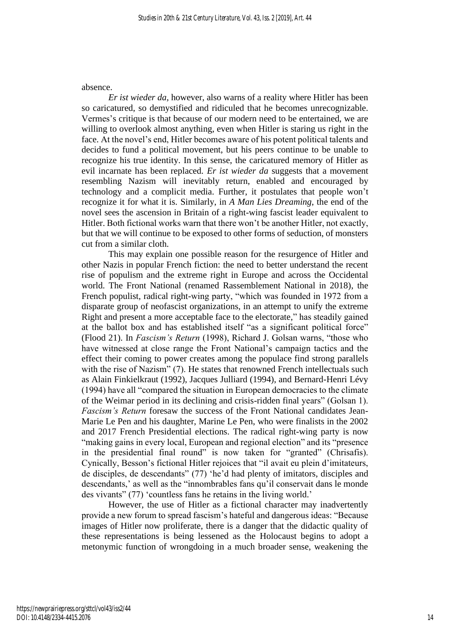#### absence.

*Er ist wieder da*, however, also warns of a reality where Hitler has been so caricatured, so demystified and ridiculed that he becomes unrecognizable. Vermes's critique is that because of our modern need to be entertained, we are willing to overlook almost anything, even when Hitler is staring us right in the face. At the novel's end, Hitler becomes aware of his potent political talents and decides to fund a political movement, but his peers continue to be unable to recognize his true identity. In this sense, the caricatured memory of Hitler as evil incarnate has been replaced. *Er ist wieder da* suggests that a movement resembling Nazism will inevitably return, enabled and encouraged by technology and a complicit media. Further, it postulates that people won't recognize it for what it is. Similarly, in *A Man Lies Dreaming*, the end of the novel sees the ascension in Britain of a right-wing fascist leader equivalent to Hitler. Both fictional works warn that there won't be another Hitler, not exactly, but that we will continue to be exposed to other forms of seduction, of monsters cut from a similar cloth.

This may explain one possible reason for the resurgence of Hitler and other Nazis in popular French fiction: the need to better understand the recent rise of populism and the extreme right in Europe and across the Occidental world. The Front National (renamed Rassemblement National in 2018), the French populist, radical right-wing party, "which was founded in 1972 from a disparate group of neofascist organizations, in an attempt to unify the extreme Right and present a more acceptable face to the electorate," has steadily gained at the ballot box and has established itself "as a significant political force" (Flood 21). In *Fascism's Return* (1998), Richard J. Golsan warns, "those who have witnessed at close range the Front National's campaign tactics and the effect their coming to power creates among the populace find strong parallels with the rise of Nazism" (7). He states that renowned French intellectuals such as Alain Finkielkraut (1992), Jacques Julliard (1994), and Bernard-Henri Lévy (1994) have all "compared the situation in European democracies to the climate of the Weimar period in its declining and crisis-ridden final years" (Golsan 1). *Fascism's Return* foresaw the success of the Front National candidates Jean-Marie Le Pen and his daughter, Marine Le Pen, who were finalists in the 2002 and 2017 French Presidential elections. The radical right-wing party is now "making gains in every local, European and regional election" and its "presence in the presidential final round" is now taken for "granted" (Chrisafis). Cynically, Besson's fictional Hitler rejoices that "il avait eu plein d'imitateurs, de disciples, de descendants" (77) 'he'd had plenty of imitators, disciples and descendants,' as well as the "innombrables fans qu'il conservait dans le monde des vivants" (77) 'countless fans he retains in the living world.'

However, the use of Hitler as a fictional character may inadvertently provide a new forum to spread fascism's hateful and dangerous ideas: "Because images of Hitler now proliferate, there is a danger that the didactic quality of these representations is being lessened as the Holocaust begins to adopt a metonymic function of wrongdoing in a much broader sense, weakening the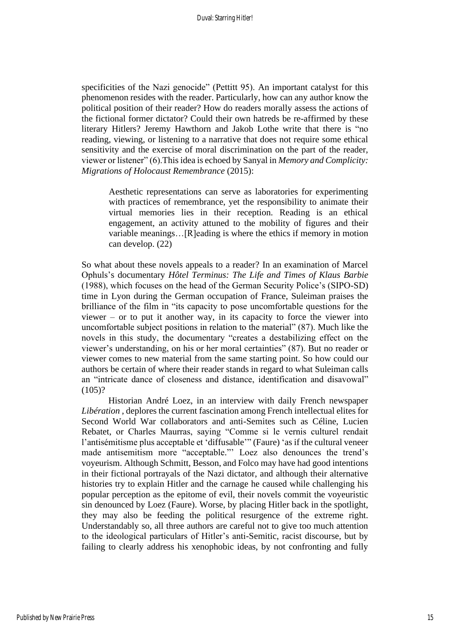specificities of the Nazi genocide" (Pettitt 95). An important catalyst for this phenomenon resides with the reader. Particularly, how can any author know the political position of their reader? How do readers morally assess the actions of the fictional former dictator? Could their own hatreds be re-affirmed by these literary Hitlers? Jeremy Hawthorn and Jakob Lothe write that there is "no reading, viewing, or listening to a narrative that does not require some ethical sensitivity and the exercise of moral discrimination on the part of the reader, viewer or listener" (6).This idea is echoed by Sanyal in *Memory and Complicity: Migrations of Holocaust Remembrance* (2015):

Aesthetic representations can serve as laboratories for experimenting with practices of remembrance, yet the responsibility to animate their virtual memories lies in their reception. Reading is an ethical engagement, an activity attuned to the mobility of figures and their variable meanings…[R]eading is where the ethics if memory in motion can develop. (22)

So what about these novels appeals to a reader? In an examination of Marcel Ophuls's documentary *Hôtel Terminus: The Life and Times of Klaus Barbie* (1988), which focuses on the head of the German Security Police's (SIPO-SD) time in Lyon during the German occupation of France, Suleiman praises the brilliance of the film in "its capacity to pose uncomfortable questions for the viewer – or to put it another way, in its capacity to force the viewer into uncomfortable subject positions in relation to the material" (87). Much like the novels in this study, the documentary "creates a destabilizing effect on the viewer's understanding, on his or her moral certainties" (87). But no reader or viewer comes to new material from the same starting point. So how could our authors be certain of where their reader stands in regard to what Suleiman calls an "intricate dance of closeness and distance, identification and disavowal"  $(105)?$ 

Historian André Loez, in an interview with daily French newspaper *Libération* , deplores the current fascination among French intellectual elites for Second World War collaborators and anti-Semites such as Céline, Lucien Rebatet, or Charles Maurras, saying "Comme si le vernis culturel rendait l'antisémitisme plus acceptable et 'diffusable'" (Faure) 'as if the cultural veneer made antisemitism more "acceptable."' Loez also denounces the trend's voyeurism. Although Schmitt, Besson, and Folco may have had good intentions in their fictional portrayals of the Nazi dictator, and although their alternative histories try to explain Hitler and the carnage he caused while challenging his popular perception as the epitome of evil, their novels commit the voyeuristic sin denounced by Loez (Faure). Worse, by placing Hitler back in the spotlight, they may also be feeding the political resurgence of the extreme right. Understandably so, all three authors are careful not to give too much attention to the ideological particulars of Hitler's anti-Semitic, racist discourse, but by failing to clearly address his xenophobic ideas, by not confronting and fully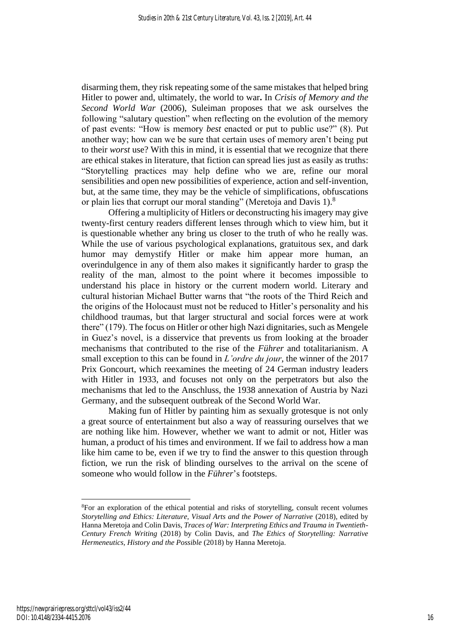disarming them, they risk repeating some of the same mistakes that helped bring Hitler to power and, ultimately, the world to war**.** In *Crisis of Memory and the Second World War* (2006), Suleiman proposes that we ask ourselves the following "salutary question" when reflecting on the evolution of the memory of past events: "How is memory *best* enacted or put to public use?" (8). Put another way; how can we be sure that certain uses of memory aren't being put to their *worst* use? With this in mind, it is essential that we recognize that there are ethical stakes in literature, that fiction can spread lies just as easily as truths: "Storytelling practices may help define who we are, refine our moral sensibilities and open new possibilities of experience, action and self-invention, but, at the same time, they may be the vehicle of simplifications, obfuscations or plain lies that corrupt our moral standing" (Meretoja and Davis 1).<sup>8</sup>

Offering a multiplicity of Hitlers or deconstructing his imagery may give twenty-first century readers different lenses through which to view him, but it is questionable whether any bring us closer to the truth of who he really was. While the use of various psychological explanations, gratuitous sex, and dark humor may demystify Hitler or make him appear more human, an overindulgence in any of them also makes it significantly harder to grasp the reality of the man, almost to the point where it becomes impossible to understand his place in history or the current modern world. Literary and cultural historian Michael Butter warns that "the roots of the Third Reich and the origins of the Holocaust must not be reduced to Hitler's personality and his childhood traumas, but that larger structural and social forces were at work there"  $(179)$ . The focus on Hitler or other high Nazi dignitaries, such as Mengele in Guez's novel, is a disservice that prevents us from looking at the broader mechanisms that contributed to the rise of the *Führer* and totalitarianism. A small exception to this can be found in *L'ordre du jour*, the winner of the 2017 Prix Goncourt, which reexamines the meeting of 24 German industry leaders with Hitler in 1933, and focuses not only on the perpetrators but also the mechanisms that led to the Anschluss, the 1938 annexation of Austria by Nazi Germany, and the subsequent outbreak of the Second World War.

Making fun of Hitler by painting him as sexually grotesque is not only a great source of entertainment but also a way of reassuring ourselves that we are nothing like him. However, whether we want to admit or not, Hitler was human, a product of his times and environment. If we fail to address how a man like him came to be, even if we try to find the answer to this question through fiction, we run the risk of blinding ourselves to the arrival on the scene of someone who would follow in the *Führer*'s footsteps.

<sup>8</sup>For an exploration of the ethical potential and risks of storytelling, consult recent volumes *Storytelling and Ethics: Literature, Visual Arts and the Power of Narrative* (2018), edited by Hanna Meretoja and Colin Davis, *Traces of War: Interpreting Ethics and Trauma in Twentieth-Century French Writing* (2018) by Colin Davis, and *The Ethics of Storytelling: Narrative Hermeneutics, History and the Possible* (2018) by Hanna Meretoja.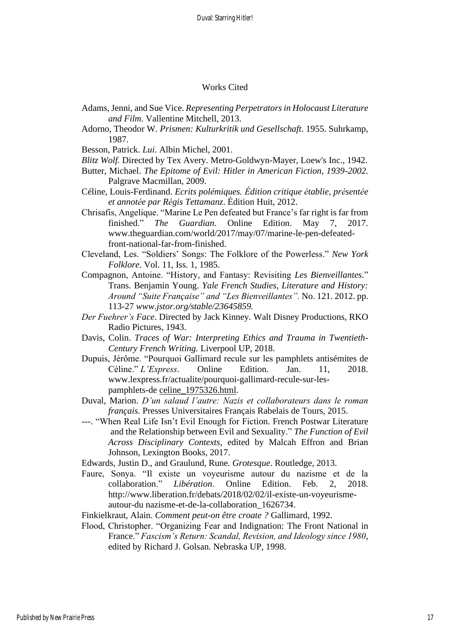#### Works Cited

- Adams, Jenni, and Sue Vice. *Representing Perpetrators in Holocaust Literature and Film*. Vallentine Mitchell, 2013.
- Adorno, Theodor W. *Prismen: Kulturkritik und Gesellschaft*. 1955. Suhrkamp, 1987.
- Besson, Patrick. *Lui*. Albin Michel, 2001.
- *Blitz Wolf.* Directed by Tex Avery. Metro-Goldwyn-Mayer, Loew's Inc., 1942.
- Butter, Michael. *The Epitome of Evil: Hitler in American Fiction, 1939-2002.* Palgrave Macmillan, 2009.
- Céline, Louis-Ferdinand. *Ecrits polémiques. Édition critique établie, présentée et annotée par Régis Tettamanz*. Édition Huit, 2012.
- Chrisafis, Angelique. "Marine Le Pen defeated but France's far right is far from finished." *The Guardian*. Online Edition. May 7, 2017. www.theguardian.com/world/2017/may/07/marine-le-pen-defeatedfront-national-far-from-finished.
- Cleveland, Les. "Soldiers' Songs: The Folklore of the Powerless." *New York Folklore*. Vol. 11, Iss. 1, 1985.
- Compagnon, Antoine. "History, and Fantasy: Revisiting *Les Bienveillantes*." Trans. Benjamin Young. *Yale French Studies, Literature and History: Around "Suite Française" and "Les Bienveillantes".* No. 121. 2012. pp. 113-27 *www.jstor.org/stable/23645859.*
- *Der Fuehrer's Face*. Directed by Jack Kinney. Walt Disney Productions, RKO Radio Pictures, 1943.
- Davis, Colin. *Traces of War: Interpreting Ethics and Trauma in Twentieth-Century French Writing.* Liverpool UP, 2018.
- Dupuis, Jérôme. "Pourquoi Gallimard recule sur les pamphlets antisémites de Céline." *L'Express*. Online Edition. Jan. 11, 2018. www.lexpress.fr/actualite/pourquoi-gallimard-recule-sur-lespamphlets-de celine\_1975326.html.
- Duval, Marion. *D'un salaud l'autre: Nazis et collaborateurs dans le roman français.* Presses Universitaires Français Rabelais de Tours, 2015.
- ---. "When Real Life Isn't Evil Enough for Fiction. French Postwar Literature and the Relationship between Evil and Sexuality." *The Function of Evil Across Disciplinary Contexts*, edited by Malcah Effron and Brian Johnson, Lexington Books, 2017.
- Edwards, Justin D., and Graulund, Rune*. Grotesque*. Routledge, 2013.
- Faure, Sonya. "Il existe un voyeurisme autour du nazisme et de la collaboration." *Libération*. Online Edition. Feb. 2, 2018. http://www.liberation.fr/debats/2018/02/02/il-existe-un-voyeurismeautour-du nazisme-et-de-la-collaboration\_1626734.

Finkielkraut, Alain. *Comment peut-on être croate ?* Gallimard, 1992.

Flood, Christopher. "Organizing Fear and Indignation: The Front National in France." *Fascism's Return: Scandal, Revision, and Ideology since 1980*, edited by Richard J. Golsan. Nebraska UP, 1998.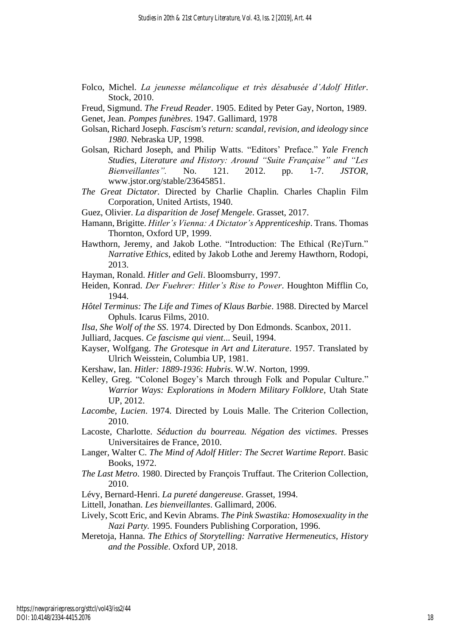Folco, Michel. *La jeunesse mélancolique et très désabusée d'Adolf Hitler*. Stock, 2010.

Freud, Sigmund. *The Freud Reader*. 1905. Edited by Peter Gay, Norton, 1989.

Genet, Jean. *Pompes funèbres*. 1947. Gallimard, 1978

- Golsan, Richard Joseph. *Fascism's return: scandal, revision, and ideology since 1980*. Nebraska UP, 1998.
- Golsan, Richard Joseph, and Philip Watts. "Editors' Preface." *Yale French Studies, Literature and History: Around "Suite Française" and "Les Bienveillantes".* No. 121. 2012. pp. 1-7. *JSTOR*, www.jstor.org/stable/23645851.
- *The Great Dictator.* Directed by Charlie Chaplin*.* Charles Chaplin Film Corporation, United Artists, 1940.
- Guez, Olivier. *La disparition de Josef Mengele*. Grasset, 2017.
- Hamann, Brigitte. *Hitler's Vienna: A Dictator's Apprenticeship*. Trans. Thomas Thornton, Oxford UP, 1999.
- Hawthorn, Jeremy, and Jakob Lothe. "Introduction: The Ethical (Re)Turn." *Narrative Ethics*, edited by Jakob Lothe and Jeremy Hawthorn, Rodopi, 2013.
- Hayman, Ronald. *Hitler and Geli*. Bloomsburry, 1997.
- Heiden, Konrad. *Der Fuehrer: Hitler's Rise to Power*. Houghton Mifflin Co, 1944.
- *Hôtel Terminus: The Life and Times of Klaus Barbie*. 1988. Directed by Marcel Ophuls. Icarus Films, 2010.
- *Ilsa, She Wolf of the SS*. 1974. Directed by Don Edmonds. Scanbox, 2011.
- Julliard, Jacques. *Ce fascisme qui vient*... Seuil, 1994.
- Kayser, Wolfgang. *The Grotesque in Art and Literature*. 1957. Translated by Ulrich Weisstein, Columbia UP, 1981.
- Kershaw, Ian. *Hitler: 1889-1936*: *Hubris*. W.W. Norton, 1999.
- Kelley, Greg. "Colonel Bogey's March through Folk and Popular Culture." *Warrior Ways: Explorations in Modern Military Folklore*, Utah State UP, 2012.
- *Lacombe, Lucien*. 1974. Directed by Louis Malle. The Criterion Collection, 2010.
- Lacoste, Charlotte. *Séduction du bourreau. Négation des victimes*. Presses Universitaires de France, 2010.
- Langer, Walter C. *The Mind of Adolf Hitler: The Secret Wartime Report*. Basic Books, 1972.
- *The Last Metro*. 1980. Directed by François Truffaut. The Criterion Collection, 2010.
- Lévy, Bernard-Henri. *La pureté dangereuse*. Grasset, 1994.
- Littell, Jonathan. *Les bienveillantes*. Gallimard, 2006.
- Lively, Scott Eric, and Kevin Abrams. *The Pink Swastika: Homosexuality in the Nazi Party.* 1995. Founders Publishing Corporation, 1996.
- Meretoja, Hanna. *The Ethics of Storytelling: Narrative Hermeneutics, History and the Possible*. Oxford UP, 2018.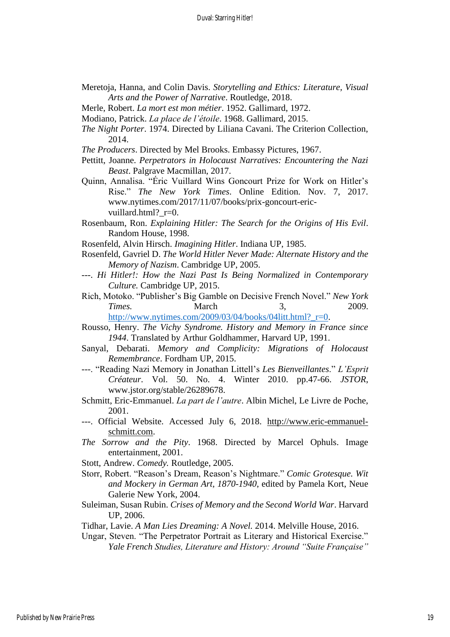- Meretoja, Hanna, and Colin Davis. *Storytelling and Ethics: Literature, Visual Arts and the Power of Narrative*. Routledge, 2018.
- Merle, Robert. *La mort est mon métier*. 1952. Gallimard, 1972.
- Modiano, Patrick. *La place de l'étoile*. 1968. Gallimard, 2015.
- *The Night Porter*. 1974. Directed by Liliana Cavani. The Criterion Collection, 2014.
- *The Producers*. Directed by Mel Brooks. Embassy Pictures, 1967.
- Pettitt, Joanne. *Perpetrators in Holocaust Narratives: Encountering the Nazi Beast*. Palgrave Macmillan, 2017.
- Quinn, Annalisa. "Éric Vuillard Wins Goncourt Prize for Work on Hitler's Rise." *The New York Times*. Online Edition. Nov. 7, 2017. www.nytimes.com/2017/11/07/books/prix-goncourt-ericvuillard.html? r=0.
- Rosenbaum, Ron. *Explaining Hitler: The Search for the Origins of His Evil*. Random House, 1998.
- Rosenfeld, Alvin Hirsch. *Imagining Hitler*. Indiana UP, 1985.
- Rosenfeld, Gavriel D. *The World Hitler Never Made: Alternate History and the Memory of Nazism*. Cambridge UP, 2005.
- ---. *Hi Hitler!: How the Nazi Past Is Being Normalized in Contemporary Culture.* Cambridge UP, 2015.
- Rich, Motoko. "Publisher's Big Gamble on Decisive French Novel." *New York Times.* March 3, 2009. [http://www.nytimes.com/2009/03/04/books/04litt.html?\\_r=0.](http://www.nytimes.com/2009/03/04/books/04litt.html?_r=0)
- Rousso, Henry. *The Vichy Syndrome. History and Memory in France since 1944*. Translated by Arthur Goldhammer, Harvard UP, 1991.
- Sanyal, Debarati. *Memory and Complicity: Migrations of Holocaust Remembrance*. Fordham UP, 2015.
- ---. "Reading Nazi Memory in Jonathan Littell's *Les Bienveillantes*." *L'Esprit Créateur*. Vol. 50. No. 4. Winter 2010. pp.47-66. *JSTOR*, www.jstor.org/stable/26289678.
- Schmitt, Eric-Emmanuel. *La part de l'autre*. Albin Michel, Le Livre de Poche, 2001.
- ---. Official Website. Accessed July 6, 2018. [http://www.eric-emmanuel](http://www.eric-emmanuel-schmitt.com/)[schmitt.com.](http://www.eric-emmanuel-schmitt.com/)
- *The Sorrow and the Pity*. 1968. Directed by Marcel Ophuls. Image entertainment, 2001.
- Stott, Andrew. *Comedy.* Routledge, 2005.
- Storr, Robert. "Reason's Dream, Reason's Nightmare." *Comic Grotesque. Wit and Mockery in German Art, 1870-1940*, edited by Pamela Kort, Neue Galerie New York, 2004.
- Suleiman, Susan Rubin. *Crises of Memory and the Second World War*. Harvard UP, 2006.
- Tidhar, Lavie. *A Man Lies Dreaming: A Novel.* 2014. Melville House, 2016.
- Ungar, Steven. "The Perpetrator Portrait as Literary and Historical Exercise." *Yale French Studies, Literature and History: Around "Suite Française"*